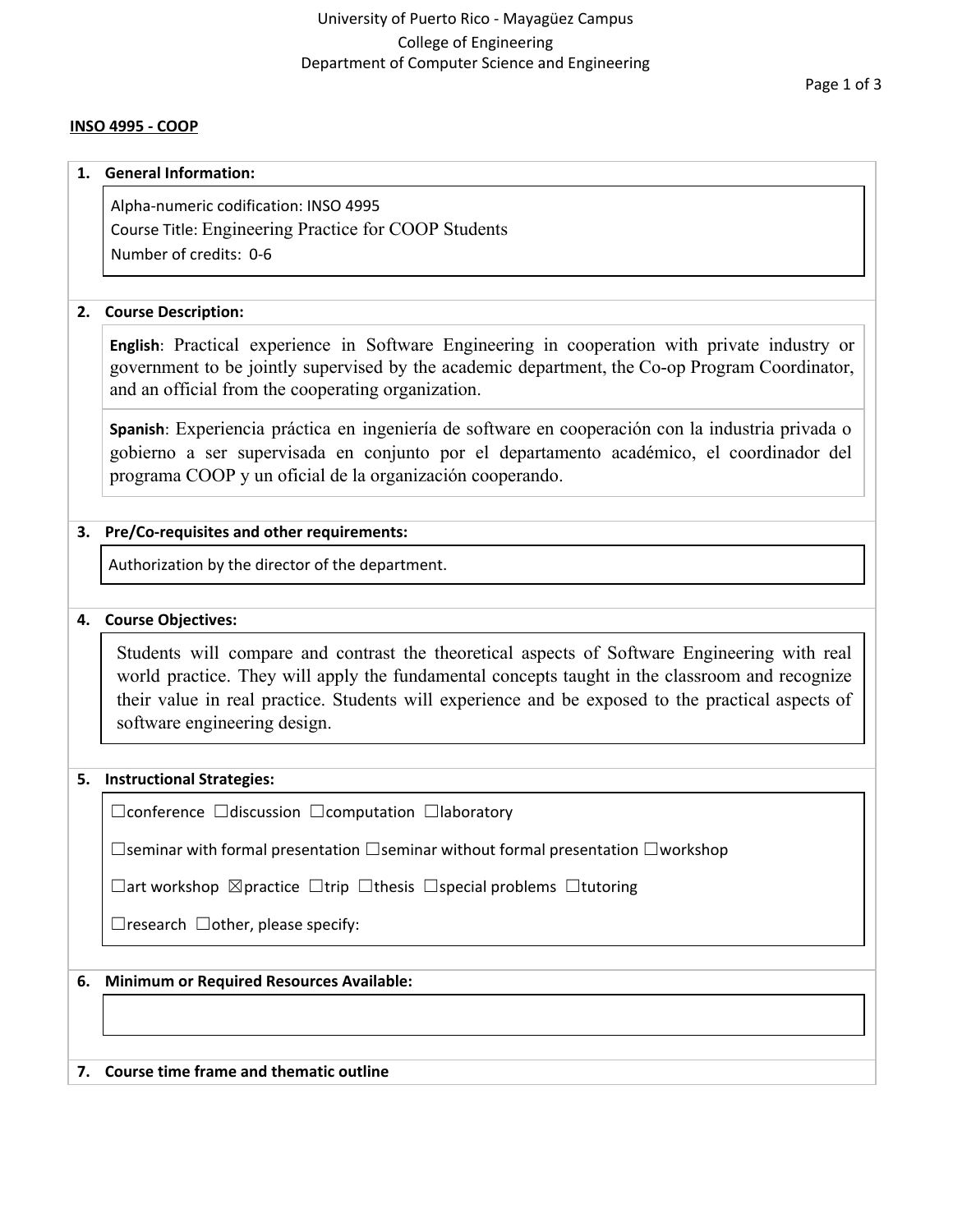# University of Puerto Rico - Mayagüez Campus College of Engineering Department of Computer Science and Engineering

### **INSO 4995 - COOP**

#### **1. General Information:**

Alpha-numeric codification: INSO 4995 Course Title: Engineering Practice for COOP Students Number of credits: 0-6

## **2. Course Description:**

**English**: Practical experience in Software Engineering in cooperation with private industry or government to be jointly supervised by the academic department, the Co-op Program Coordinator, and an official from the cooperating organization.

**Spanish**: Experiencia práctica en ingeniería de software en cooperación con la industria privada o gobierno a ser supervisada en conjunto por el departamento académico, el coordinador del programa COOP y un oficial de la organización cooperando.

# **3. Pre/Co-requisites and other requirements:**

Authorization by the director of the department.

# **4. Course Objectives:**

Students will compare and contrast the theoretical aspects of Software Engineering with real world practice. They will apply the fundamental concepts taught in the classroom and recognize their value in real practice. Students will experience and be exposed to the practical aspects of software engineering design.

# **5. Instructional Strategies:**

☐conference ☐discussion ☐computation ☐laboratory

☐seminar with formal presentation ☐seminar without formal presentation ☐workshop

☐art workshop ☒practice ☐trip ☐thesis ☐special problems ☐tutoring

 $\Box$ research  $\Box$ other, please specify:

# **6. Minimum or Required Resources Available:**

#### **7. Course time frame and thematic outline**

Page 1 of 3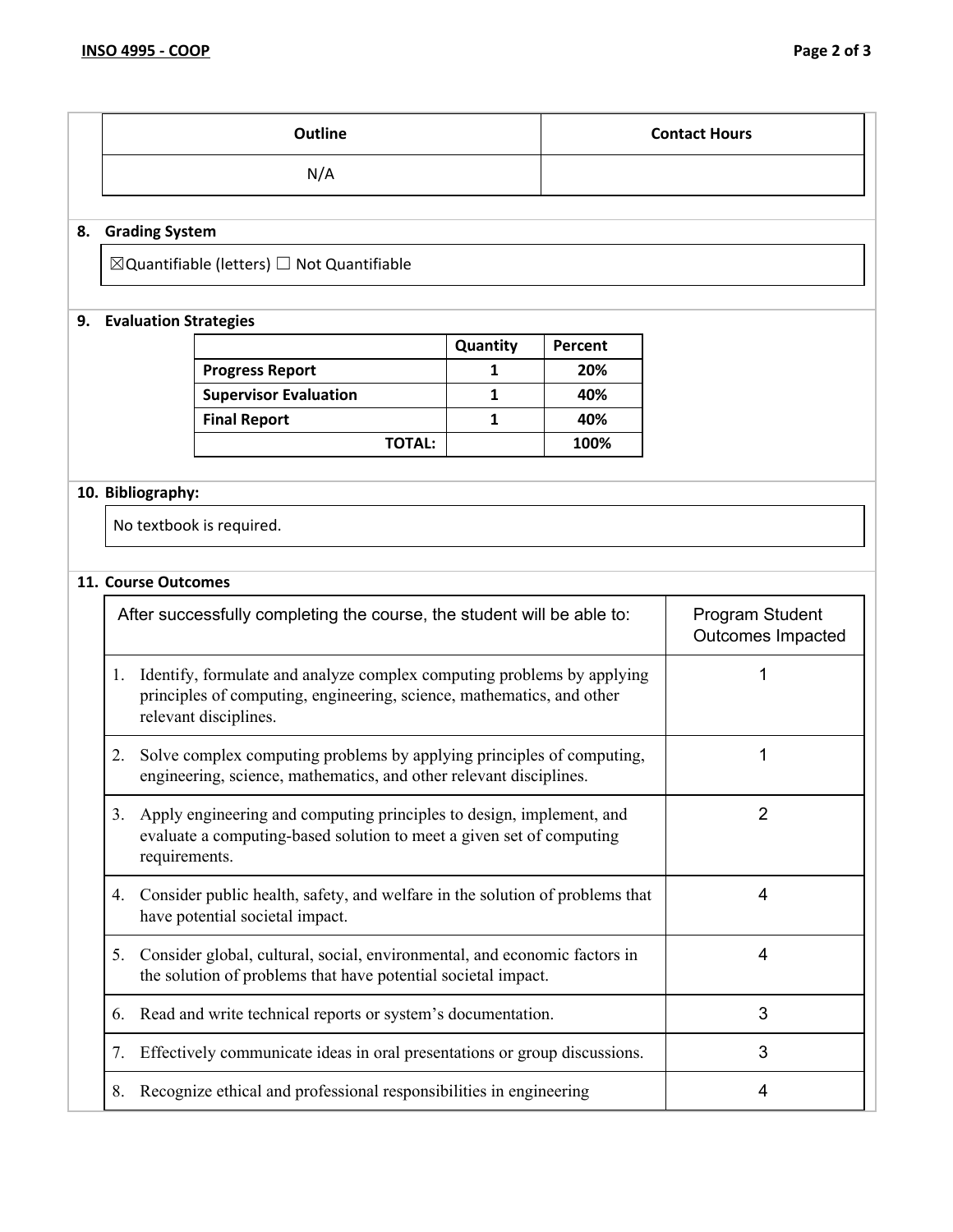| Outline | <b>Contact Hours</b> |
|---------|----------------------|
| N/A     |                      |

# **8. Grading System**

 $\boxtimes$ Quantifiable (letters)  $\Box$  Not Quantifiable

# **9. Evaluation Strategies**

|                              | Quantity | Percent |
|------------------------------|----------|---------|
| <b>Progress Report</b>       |          | 20%     |
| <b>Supervisor Evaluation</b> |          | 40%     |
| <b>Final Report</b>          |          | 40%     |
| <b>TOTAL:</b>                |          | 100%    |

# **10. Bibliography:**

No textbook is required.

# **11. Course Outcomes**

| After successfully completing the course, the student will be able to: |                                                                                                                                                                          | Program Student<br><b>Outcomes Impacted</b> |
|------------------------------------------------------------------------|--------------------------------------------------------------------------------------------------------------------------------------------------------------------------|---------------------------------------------|
| 1.                                                                     | Identify, formulate and analyze complex computing problems by applying<br>principles of computing, engineering, science, mathematics, and other<br>relevant disciplines. |                                             |
| 2.                                                                     | Solve complex computing problems by applying principles of computing,<br>engineering, science, mathematics, and other relevant disciplines.                              |                                             |
| 3.                                                                     | Apply engineering and computing principles to design, implement, and<br>evaluate a computing-based solution to meet a given set of computing<br>requirements.            | $\overline{2}$                              |
| 4.                                                                     | Consider public health, safety, and welfare in the solution of problems that<br>have potential societal impact.                                                          | 4                                           |
| 5.                                                                     | Consider global, cultural, social, environmental, and economic factors in<br>the solution of problems that have potential societal impact.                               | 4                                           |
| 6.                                                                     | Read and write technical reports or system's documentation.                                                                                                              | 3                                           |
| 7.                                                                     | Effectively communicate ideas in oral presentations or group discussions.                                                                                                | 3                                           |
| 8.                                                                     | Recognize ethical and professional responsibilities in engineering                                                                                                       | 4                                           |